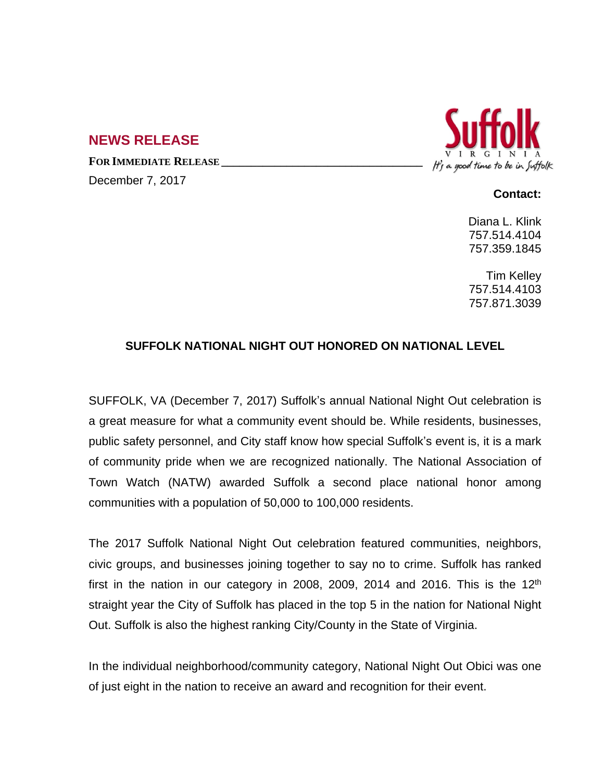## **NEWS RELEASE**

**FOR IMMEDIATE RELEASE \_\_\_\_\_\_\_\_\_\_\_\_\_\_\_\_\_\_\_\_\_\_\_\_\_\_\_\_\_\_\_\_\_\_**

December 7, 2017



## **Contact:**

Diana L. Klink 757.514.4104 757.359.1845

Tim Kelley 757.514.4103 757.871.3039

## **SUFFOLK NATIONAL NIGHT OUT HONORED ON NATIONAL LEVEL**

SUFFOLK, VA (December 7, 2017) Suffolk's annual National Night Out celebration is a great measure for what a community event should be. While residents, businesses, public safety personnel, and City staff know how special Suffolk's event is, it is a mark of community pride when we are recognized nationally. The National Association of Town Watch (NATW) awarded Suffolk a second place national honor among communities with a population of 50,000 to 100,000 residents.

The 2017 Suffolk National Night Out celebration featured communities, neighbors, civic groups, and businesses joining together to say no to crime. Suffolk has ranked first in the nation in our category in 2008, 2009, 2014 and 2016. This is the 12<sup>th</sup> straight year the City of Suffolk has placed in the top 5 in the nation for National Night Out. Suffolk is also the highest ranking City/County in the State of Virginia.

In the individual neighborhood/community category, National Night Out Obici was one of just eight in the nation to receive an award and recognition for their event.